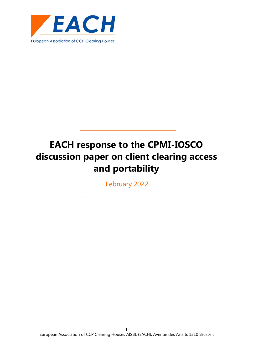

February 2022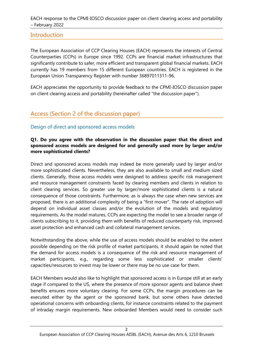## **Introduction**

The European Association of CCP Clearing Houses (EACH) represents the interests of Central Counterparties (CCPs) in Europe since 1992. CCPs are financial market infrastructures that significantly contribute to safer, more efficient and transparent global financial markets. EACH currently has 19 members from 15 different European countries. EACH is registered in the European Union Transparency Register with number 36897011311-96.

EACH appreciates the opportunity to provide feedback to the CPMI-IOSCO discussion paper on client clearing access and portability (hereinafter called "the discussion paper").

## Access (Section 2 of the discussion paper)

## Design of direct and sponsored access models

#### **Q1. Do you agree with the observation in the discussion paper that the direct and sponsored access models are designed for and generally used more by larger and/or more sophisticated clients?**

Direct and sponsored access models may indeed be more generally used by larger and/or more sophisticated clients. Nevertheless, they are also available to small and medium sized clients. Generally, those access models were designed to address specific risk management and resource management constraints faced by clearing members and clients in relation to client clearing services. So greater use by larger/more sophisticated clients is a natural consequence of those constraints. Furthermore, as is always the case when new services are proposed, there is an additional complexity of being a "first mover". The rate of adoption will depend on individual asset classes and/or the evolution of the models and regulatory requirements. As the model matures, CCPs are expecting the model to see a broader range of clients subscribing to it, providing them with benefits of reduced counterparty risk, improved asset protection and enhanced cash and collateral management services.

Notwithstanding the above, while the use of access models should be enabled to the extent possible depending on the risk profile of market participants, it should again be noted that the demand for access models is a consequence of the risk and resource management of market participants, e.g., regarding some less sophisticated or smaller clients' capacities/resources to invest may be lower or there may be no use case for them.

EACH Members would also like to highlight that sponsored access is in Europe still at an early stage if compared to the US, where the presence of more sponsor agents and balance sheet benefits ensures more voluntary clearing. For some CCPs, the margin procedures can be executed either by the agent or the sponsored bank, but some others have detected operational concerns with onboarding clients, for instance constraints related to the payment of intraday margin requirements. New onboarded Members would need to consider such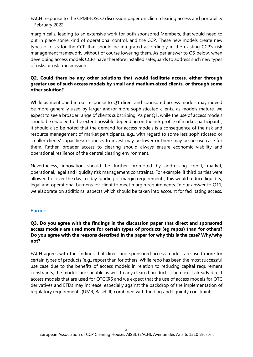margin calls, leading to an extensive work for both sponsored Members, that would need to put in place some kind of operational control, and the CCP. These new models create new types of risks for the CCP that should be integrated accordingly in the existing CCP's risk management framework, without of course lowering them. As per answer to Q5 below, when developing access models CCPs have therefore installed safeguards to address such new types of risks or risk transmission.

#### **Q2. Could there be any other solutions that would facilitate access, either through greater use of such access models by small and medium-sized clients, or through some other solution?**

While as mentioned in our response to Q1 direct and sponsored access models may indeed be more generally used by larger and/or more sophisticated clients, as models mature, we expect to see a broader range of clients subscribing. As per Q1, while the use of access models should be enabled to the extent possible depending on the risk profile of market participants, it should also be noted that the demand for access models is a consequence of the risk and resource management of market participants, e.g., with regard to some less sophisticated or smaller clients' capacities/resources to invest may be lower or there may be no use case for them. Rather, broader access to clearing should always ensure economic viability and operational resilience of the central clearing environment.

Nevertheless, innovation should be further promoted by addressing credit, market, operational, legal and liquidity risk management constraints. For example, if third parties were allowed to cover the day-to-day funding of margin requirements, this would reduce liquidity, legal and operational burdens for client to meet margin requirements. In our answer to Q11, we elaborate on additional aspects which should be taken into account for facilitating access.

## **Barriers**

#### **Q3. Do you agree with the findings in the discussion paper that direct and sponsored access models are used more for certain types of products (eg repos) than for others? Do you agree with the reasons described in the paper for why this is the case? Why/why not?**

EACH agrees with the findings that direct and sponsored access models are used more for certain types of products (e.g., repos) than for others. While repo has been the most successful use case due to the benefits of access models in relation to reducing capital requirement constraints, the models are suitable as well to any cleared products. There exist already direct access models that are used for OTC IRS and we expect that the use of access models for OTC derivatives and ETDs may increase, especially against the backdrop of the implementation of regulatory requirements (UMR, Basel III) combined with funding and liquidity constraints.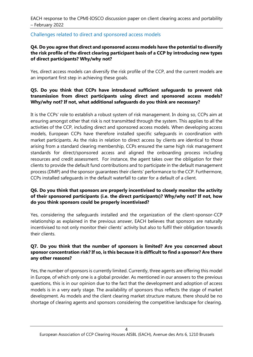## Challenges related to direct and sponsored access models

#### **Q4. Do you agree that direct and sponsored access models have the potential to diversify the risk profile of the direct clearing participant basis of a CCP by introducing new types of direct participants? Why/why not?**

Yes, direct access models can diversify the risk profile of the CCP, and the current models are an important first step in achieving these goals.

#### **Q5. Do you think that CCPs have introduced sufficient safeguards to prevent risk transmission from direct participants using direct and sponsored access models? Why/why not? If not, what additional safeguards do you think are necessary?**

It is the CCPs' role to establish a robust system of risk management. In doing so, CCPs aim at ensuring amongst other that risk is not transmitted through the system. This applies to all the activities of the CCP, including direct and sponsored access models. When developing access models, European CCPs have therefore installed specific safeguards in coordination with market participants. As the risks in relation to direct access by clients are identical to those arising from a standard clearing membership, CCPs ensured the same high risk management standards for direct/sponsored access and aligned the onboarding process including resources and credit assessment. For instance, the agent takes over the obligation for their clients to provide the default fund contributions and to participate in the default management process (DMP) and the sponsor guarantees their clients' performance to the CCP. Furthermore, CCPs installed safeguards in the default waterfall to cater for a default of a client.

#### **Q6. Do you think that sponsors are properly incentivised to closely monitor the activity of their sponsored participants (i.e. the direct participants)? Why/why not? If not, how do you think sponsors could be properly incentivised?**

Yes, considering the safeguards installed and the organization of the client-sponsor-CCP relationship as explained in the previous answer, EACH believes that sponsors are naturally incentivised to not only monitor their clients' activity but also to fulfil their obligation towards their clients.

#### **Q7. Do you think that the number of sponsors is limited? Are you concerned about sponsor concentration risk? If so, is this because it is difficult to find a sponsor? Are there any other reasons?**

Yes, the number of sponsors is currently limited. Currently, three agents are offering this model in Europe, of which only one is a global provider. As mentioned in our answers to the previous questions, this is in our opinion due to the fact that the development and adoption of access models is in a very early stage. The availability of sponsors thus reflects the stage of market development. As models and the client clearing market structure mature, there should be no shortage of clearing agents and sponsors considering the competitive landscape for clearing.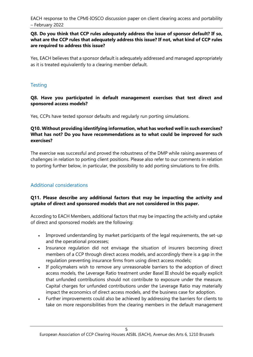#### **Q8. Do you think that CCP rules adequately address the issue of sponsor default? If so, what are the CCP rules that adequately address this issue? If not, what kind of CCP rules are required to address this issue?**

Yes, EACH believes that a sponsor default is adequately addressed and managed appropriately as it is treated equivalently to a clearing member default.

## **Testing**

**Q8. Have you participated in default management exercises that test direct and sponsored access models?**

Yes, CCPs have tested sponsor defaults and regularly run porting simulations.

#### **Q10. Without providing identifying information, what has worked well in such exercises? What has not? Do you have recommendations as to what could be improved for such exercises?**

The exercise was successful and proved the robustness of the DMP while raising awareness of challenges in relation to porting client positions. Please also refer to our comments in relation to porting further below, in particular, the possibility to add porting simulations to fire drills.

## Additional considerations

#### **Q11. Please describe any additional factors that may be impacting the activity and uptake of direct and sponsored models that are not considered in this paper.**

According to EACH Members, additional factors that may be impacting the activity and uptake of direct and sponsored models are the following:

- Improved understanding by market participants of the legal requirements, the set-up and the operational processes;
- Insurance regulation did not envisage the situation of insurers becoming direct members of a CCP through direct access models, and accordingly there is a gap in the regulation preventing insurance firms from using direct access models;
- If policymakers wish to remove any unreasonable barriers to the adoption of direct access models, the Leverage Ratio treatment under Basel III should be equally explicit that unfunded contributions should not contribute to exposure under the measure. Capital charges for unfunded contributions under the Leverage Ratio may materially impact the economics of direct access models, and the business case for adoption.
- Further improvements could also be achieved by addressing the barriers for clients to take on more responsibilities from the clearing members in the default management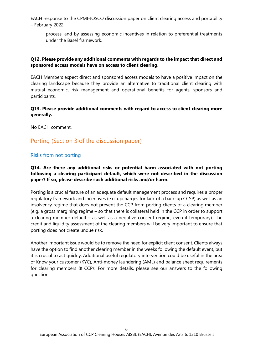process, and by assessing economic incentives in relation to preferential treatments under the Basel framework.

#### **Q12. Please provide any additional comments with regards to the impact that direct and sponsored access models have on access to client clearing.**

EACH Members expect direct and sponsored access models to have a positive impact on the clearing landscape because they provide an alternative to traditional client clearing with mutual economic, risk management and operational benefits for agents, sponsors and participants.

#### **Q13. Please provide additional comments with regard to access to client clearing more generally.**

No EACH comment.

## Porting (Section 3 of the discussion paper)

#### Risks from not porting

#### **Q14. Are there any additional risks or potential harm associated with not porting following a clearing participant default, which were not described in the discussion paper? If so, please describe such additional risks and/or harm.**

Porting is a crucial feature of an adequate default management process and requires a proper regulatory framework and incentives (e.g. upcharges for lack of a back-up CCSP) as well as an insolvency regime that does not prevent the CCP from porting clients of a clearing member (e.g. a gross margining regime – so that there is collateral held in the CCP in order to support a clearing member default – as well as a negative consent regime, even if temporary). The credit and liquidity assessment of the clearing members will be very important to ensure that porting does not create undue risk.

Another important issue would be to remove the need for explicit client consent. Clients always have the option to find another clearing member in the weeks following the default event, but it is crucial to act quickly. Additional useful regulatory intervention could be useful in the area of Know your customer (KYC), Anti-money laundering (AML) and balance sheet requirements for clearing members & CCPs. For more details, please see our answers to the following questions.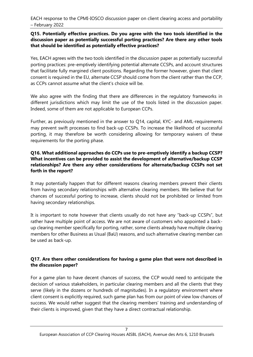#### **Q15. Potentially effective practices. Do you agree with the two tools identified in the discussion paper as potentially successful porting practices? Are there any other tools that should be identified as potentially effective practices?**

Yes, EACH agrees with the two tools identified in the discussion paper as potentially successful porting practices: pre-emptively identifying potential alternate CCSPs, and account structures that facilitate fully margined client positions. Regarding the former however, given that client consent is required in the EU, alternate CCSP should come from the client rather than the CCP, as CCPs cannot assume what the client's choice will be.

We also agree with the finding that there are differences in the regulatory frameworks in different jurisdictions which may limit the use of the tools listed in the discussion paper. Indeed, some of them are not applicable to European CCPs.

Further, as previously mentioned in the answer to Q14, capital, KYC- and AML-requirements may prevent swift processes to find back-up CCSPs. To increase the likelihood of successful porting, it may therefore be worth considering allowing for temporary waivers of these requirements for the porting phase.

#### **Q16. What additional approaches do CCPs use to pre-emptively identify a backup CCSP? What incentives can be provided to assist the development of alternative/backup CCSP relationships? Are there any other considerations for alternate/backup CCSPs not set forth in the report?**

It may potentially happen that for different reasons clearing members prevent their clients from having secondary relationships with alternative clearing members. We believe that for chances of successful porting to increase, clients should not be prohibited or limited from having secondary relationships.

It is important to note however that clients usually do not have any "back-up CCSPs", but rather have multiple point of access. We are not aware of customers who appointed a backup clearing member specifically for porting, rather, some clients already have multiple clearing members for other Business as Usual (BaU) reasons, and such alternative clearing member can be used as back-up.

## **Q17. Are there other considerations for having a game plan that were not described in the discussion paper?**

For a game plan to have decent chances of success, the CCP would need to anticipate the decision of various stakeholders, in particular clearing members and all the clients that they serve (likely in the dozens or hundreds of magnitudes). In a regulatory environment where client consent is explicitly required, such game plan has from our point of view low chances of success. We would rather suggest that the clearing members' training and understanding of their clients is improved, given that they have a direct contractual relationship.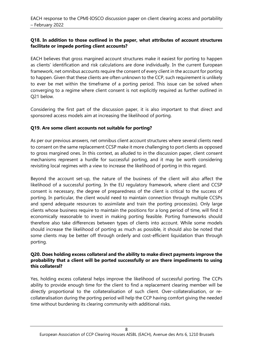#### **Q18. In addition to those outlined in the paper, what attributes of account structures facilitate or impede porting client accounts?**

EACH believes that gross margined account structures make it easiest for porting to happen as clients' identification and risk calculations are done individually. In the current European framework, net omnibus accounts require the consent of every client in the account for porting to happen. Given that these clients are often unknown to the CCP, such requirement is unlikely to ever be met within the timeframe of a porting period. This issue can be solved when converging to a regime where client consent is not explicitly required as further outlined in Q21 below.

Considering the first part of the discussion paper, it is also important to that direct and sponsored access models aim at increasing the likelihood of porting.

#### **Q19. Are some client accounts not suitable for porting?**

As per our previous answers, net omnibus client account structures where several clients need to consent on the same replacement CCSP make it more challenging to port clients as opposed to gross margined ones. In this context, as alluded to in the discussion paper, client consent mechanisms represent a hurdle for successful porting, and it may be worth considering revisiting local regimes with a view to increase the likelihood of porting in this regard.

Beyond the account set-up, the nature of the business of the client will also affect the likelihood of a successful porting. In the EU regulatory framework, where client and CCSP consent is necessary, the degree of preparedness of the client is critical to the success of porting. In particular, the client would need to maintain connection through multiple CCSPs and spend adequate resources to assimilate and train the porting process(es). Only large clients whose business require to maintain the positions for a long period of time, will find it economically reasonable to invest in making porting feasible. Porting frameworks should therefore also take differences between types of clients into account. While some models should increase the likelihood of porting as much as possible, it should also be noted that some clients may be better off through orderly and cost-efficient liquidation than through porting.

#### **Q20. Does holding excess collateral and the ability to make direct payments improve the probability that a client will be ported successfully or are there impediments to using this collateral?**

Yes, holding excess collateral helps improve the likelihood of successful porting. The CCPs ability to provide enough time for the client to find a replacement clearing member will be directly proportional to the collateralisation of such client. Over-collateralisation, or recollateralisation during the porting period will help the CCP having comfort giving the needed time without burdening its clearing community with additional risks.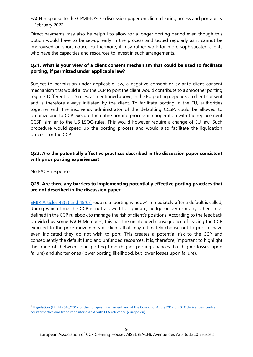Direct payments may also be helpful to allow for a longer porting period even though this option would have to be set-up early in the process and tested regularly as it cannot be improvised on short notice. Furthermore, it may rather work for more sophisticated clients who have the capacities and resources to invest in such arrangements.

#### **Q21. What is your view of a client consent mechanism that could be used to facilitate porting, if permitted under applicable law?**

Subject to permission under applicable law, a negative consent or ex-ante client consent mechanism that would allow the CCP to port the client would contribute to a smoother porting regime. Different to US rules, as mentioned above, in the EU porting depends on client consent and is therefore always initiated by the client. To facilitate porting in the EU, authorities together with the insolvency administrator of the defaulting CCSP, could be allowed to organize and to CCP execute the entire porting process in cooperation with the replacement CCSP, similar to the US LSOC-rules. This would however require a change of EU law. Such procedure would speed up the porting process and would also facilitate the liquidation process for the CCP.

#### **Q22. Are the potentially effective practices described in the discussion paper consistent with prior porting experiences?**

No EACH response.

#### **Q23. Are there any barriers to implementing potentially effective porting practices that are not described in the discussion paper.**

**[EMIR Articles 48\(5\) and 48\(6\)](https://eur-lex.europa.eu/legal-content/EN/TXT/PDF/?uri=CELEX:32012R0648&from=EN)<sup>1</sup>** require a 'porting window' immediately after a default is called, during which time the CCP is not allowed to liquidate, hedge or perform any other steps defined in the CCP rulebook to manage the risk of client's positions. According to the feedback provided by some EACH Members, this has the unintended consequence of leaving the CCP exposed to the price movements of clients that may ultimately choose not to port or have even indicated they do not wish to port. This creates a potential risk to the CCP and consequently the default fund and unfunded resources. It is, therefore, important to highlight the trade-off between long porting time (higher porting chances, but higher losses upon failure) and shorter ones (lower porting likelihood, but lower losses upon failure).

<sup>1</sup> [Regulation \(EU\) No 648/2012 of the European Parliament and of the Council of 4 July 2012 on OTC derivatives, central](https://eur-lex.europa.eu/legal-content/EN/TXT/PDF/?uri=CELEX:32012R0648&from=EN)  [counterparties and trade repositoriesText with EEA relevance \(europa.eu\)](https://eur-lex.europa.eu/legal-content/EN/TXT/PDF/?uri=CELEX:32012R0648&from=EN)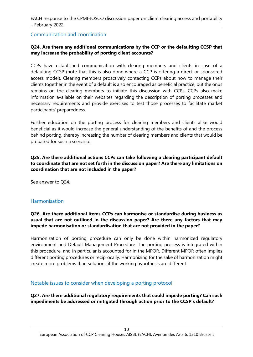#### Communication and coordination

#### **Q24. Are there any additional communications by the CCP or the defaulting CCSP that may increase the probability of porting client accounts?**

CCPs have established communication with clearing members and clients in case of a defaulting CCSP (note that this is also done where a CCP is offering a direct or sponsored access model). Clearing members proactively contacting CCPs about how to manage their clients together in the event of a default is also encouraged as beneficial practice, but the onus remains on the clearing members to initiate this discussion with CCPs. CCPs also make information available on their websites regarding the description of porting processes and necessary requirements and provide exercises to test those processes to facilitate market participants' preparedness.

Further education on the porting process for clearing members and clients alike would beneficial as it would increase the general understanding of the benefits of and the process behind porting, thereby increasing the number of clearing members and clients that would be prepared for such a scenario.

#### **Q25. Are there additional actions CCPs can take following a clearing participant default to coordinate that are not set forth in the discussion paper? Are there any limitations on coordination that are not included in the paper?**

See answer to Q24.

#### **Harmonisation**

#### **Q26. Are there additional items CCPs can harmonise or standardise during business as usual that are not outlined in the discussion paper? Are there any factors that may impede harmonisation or standardisation that are not provided in the paper?**

Harmonization of porting procedure can only be done within harmonized regulatory environment and Default Management Procedure. The porting process is integrated within this procedure, and in particular is accounted for in the MPOR. Different MPOR often implies different porting procedures or reciprocally. Harmonizing for the sake of harmonization might create more problems than solutions if the working hypothesis are different.

#### Notable issues to consider when developing a porting protocol

**Q27. Are there additional regulatory requirements that could impede porting? Can such impediments be addressed or mitigated through action prior to the CCSP's default?**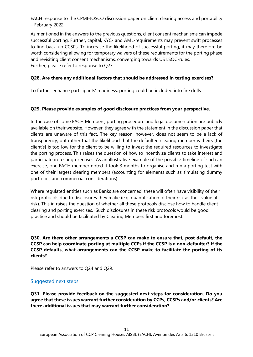As mentioned in the answers to the previous questions, client consent mechanisms can impede successful porting. Further, capital, KYC- and AML-requirements may prevent swift processes to find back-up CCSPs. To increase the likelihood of successful porting, it may therefore be worth considering allowing for temporary waivers of these requirements for the porting phase and revisiting client consent mechanisms, converging towards US LSOC-rules. Further, please refer to response to Q23.

#### **Q28. Are there any additional factors that should be addressed in testing exercises?**

To further enhance participants' readiness, porting could be included into fire drills

#### **Q29. Please provide examples of good disclosure practices from your perspective.**

In the case of some EACH Members, porting procedure and legal documentation are publicly available on their website. However, they agree with the statement in the discussion paper that clients are unaware of this fact. The key reason, however, does not seem to be a lack of transparency, but rather that the likelihood that the defaulted clearing member is theirs [the client's] is too low for the client to be willing to invest the required resources to investigate the porting process. This raises the question of how to incentivize clients to take interest and participate in testing exercises. As an illustrative example of the possible timeline of such an exercise, one EACH member noted it took 3 months to organise and run a porting test with one of their largest clearing members (accounting for elements such as simulating dummy portfolios and commercial considerations).

Where regulated entities such as Banks are concerned, these will often have visibility of their risk protocols due to disclosures they make (e.g. quantification of their risk as their value at risk). This in raises the question of whether all these protocols disclose how to handle client clearing and porting exercises. Such disclosures in these risk protocols would be good practice and should be facilitated by Clearing Members first and foremost.

**Q30. Are there other arrangements a CCSP can make to ensure that, post default, the CCSP can help coordinate porting at multiple CCPs if the CCSP is a non-defaulter? If the CCSP defaults, what arrangements can the CCSP make to facilitate the porting of its clients?**

Please refer to answers to Q24 and Q29.

## Suggested next steps

**Q31. Please provide feedback on the suggested next steps for consideration. Do you agree that these issues warrant further consideration by CCPs, CCSPs and/or clients? Are there additional issues that may warrant further consideration?**